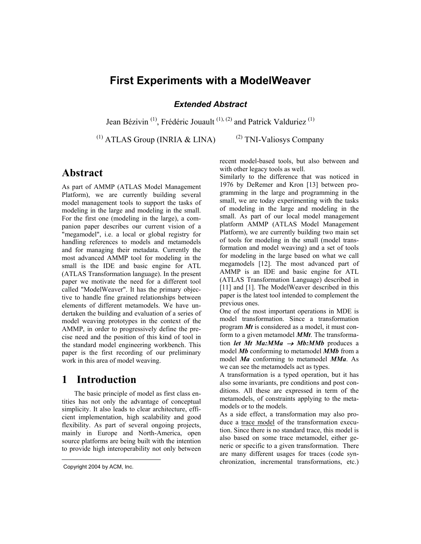## **First Experiments with a ModelWeaver**

*Extended Abstract* 

Jean Bézivin<sup>(1)</sup>, Frédéric Jouault<sup>(1), (2)</sup> and Patrick Valduriez<sup>(1)</sup>

 $^{(1)}$  ATLAS Group (INRIA & LINA)  $^{(2)}$ 

<sup>(2)</sup> TNI-Valiosys Company

## **Abstract**

As part of AMMP (ATLAS Model Management Platform), we are currently building several model management tools to support the tasks of modeling in the large and modeling in the small. For the first one (modeling in the large), a companion paper describes our current vision of a "megamodel", i.e. a local or global registry for handling references to models and metamodels and for managing their metadata. Currently the most advanced AMMP tool for modeling in the small is the IDE and basic engine for ATL (ATLAS Transformation language). In the present paper we motivate the need for a different tool called "ModelWeaver". It has the primary objective to handle fine grained relationships between elements of different metamodels. We have undertaken the building and evaluation of a series of model weaving prototypes in the context of the AMMP, in order to progressively define the precise need and the position of this kind of tool in the standard model engineering workbench. This paper is the first recording of our preliminary work in this area of model weaving.

## **1 Introduction**

The basic principle of model as first class entities has not only the advantage of conceptual simplicity. It also leads to clear architecture, efficient implementation, high scalability and good flexibility. As part of several ongoing projects, mainly in Europe and North-America, open source platforms are being built with the intention to provide high interoperability not only between

 $\overline{a}$ 

recent model-based tools, but also between and with other legacy tools as well.

Similarly to the difference that was noticed in 1976 by DeRemer and Kron [\[13\]](#page-4-0) between programming in the large and programming in the small, we are today experimenting with the tasks of modeling in the large and modeling in the small. As part of our local model management platform AMMP (ATLAS Model Management Platform), we are currently building two main set of tools for modeling in the small (model transformation and model weaving) and a set of tools for modeling in the large based on what we call megamodels [\[12\].](#page-4-1) The most advanced part of AMMP is an IDE and basic engine for ATL (ATLAS Transformation Language) described in [\[11\]](#page-4-2) and [\[1\].](#page-4-3) The ModelWeaver described in this paper is the latest tool intended to complement the previous ones.

One of the most important operations in MDE is model transformation. Since a transformation program *Mt* is considered as a model, it must conform to a given metamodel *MMt*. The transformation *let Mt Ma:MMa* → *Mb:MMb* produces a model *Mb* conforming to metamodel *MMb* from a model *Ma* conforming to metamodel *MMa*. As we can see the metamodels act as types.

A transformation is a typed operation, but it has also some invariants, pre conditions and post conditions. All these are expressed in term of the metamodels, of constraints applying to the metamodels or to the models.

As a side effect, a transformation may also produce a trace model of the transformation execution. Since there is no standard trace, this model is also based on some trace metamodel, either generic or specific to a given transformation. There are many different usages for traces (code synchronization, incremental transformations, etc.)

<span id="page-0-0"></span>Copyright 2004 by ACM, Inc.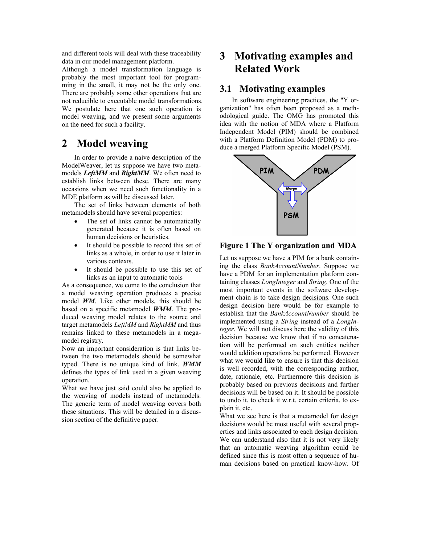and different tools will deal with these traceability data in our model management platform.

Although a model transformation language is probably the most important tool for programming in the small, it may not be the only one. There are probably some other operations that are not reducible to executable model transformations. We postulate here that one such operation is model weaving, and we present some arguments on the need for such a facility.

## **2 Model weaving**

In order to provide a naive description of the ModelWeaver, let us suppose we have two metamodels *LeftMM* and *RightMM*. We often need to establish links between these. There are many occasions when we need such functionality in a MDE platform as will be discussed later.

The set of links between elements of both metamodels should have several properties:

- The set of links cannot be automatically generated because it is often based on human decisions or heuristics.
- It should be possible to record this set of links as a whole, in order to use it later in various contexts.
- It should be possible to use this set of links as an input to automatic tools

As a consequence, we come to the conclusion that a model weaving operation produces a precise model *WM*. Like other models, this should be based on a specific metamodel *WMM*. The produced weaving model relates to the source and target metamodels *LeftMM* and *RightMM* and thus remains linked to these metamodels in a megamodel registry.

Now an important consideration is that links between the two metamodels should be somewhat typed. There is no unique kind of link. *WMM* defines the types of link used in a given weaving operation.

What we have just said could also be applied to the weaving of models instead of metamodels. The generic term of model weaving covers both these situations. This will be detailed in a discussion section of the definitive paper.

# **3 Motivating examples and Related Work**

### **3.1 Motivating examples**

In software engineering practices, the "Y organization" has often been proposed as a methodological guide. The OMG has promoted this idea with the notion of MDA where a Platform Independent Model (PIM) should be combined with a Platform Definition Model (PDM) to produce a merged Platform Specific Model (PSM).



### **Figure 1 The Y organization and MDA**

Let us suppose we have a PIM for a bank containing the class *BankAccountNumber*. Suppose we have a PDM for an implementation platform containing classes *LongInteger* and *String*. One of the most important events in the software development chain is to take design decisions. One such design decision here would be for example to establish that the *BankAccountNumber* should be implemented using a *String* instead of a *LongInteger*. We will not discuss here the validity of this decision because we know that if no concatenation will be performed on such entities neither would addition operations be performed. However what we would like to ensure is that this decision is well recorded, with the corresponding author, date, rationale, etc. Furthermore this decision is probably based on previous decisions and further decisions will be based on it. It should be possible to undo it, to check it w.r.t. certain criteria, to explain it, etc.

What we see here is that a metamodel for design decisions would be most useful with several properties and links associated to each design decision. We can understand also that it is not very likely that an automatic weaving algorithm could be defined since this is most often a sequence of human decisions based on practical know-how. Of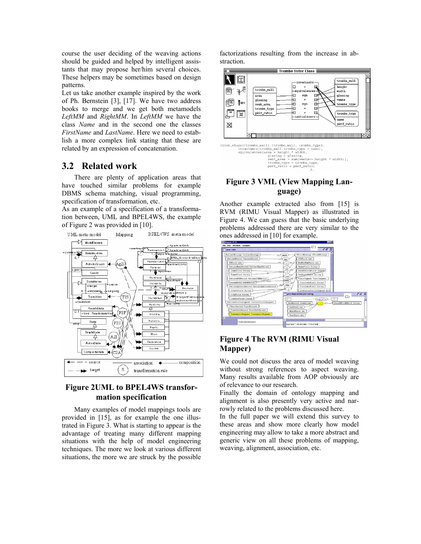course the user deciding of the weaving actions should be guided and helped by intelligent assistants that may propose her/him several choices. These helpers may be sometimes based on design patterns.

Let us take another example inspired by the work of Ph. Bernstein [\[3\],](#page-4-4) [\[17\].](#page-4-5) We have two address books to merge and we get both metamodels *LeftMM* and *RightMM*. In *LeftMM* we have the class *Name* and in the second one the classes *FirstName* and *LastName*. Here we need to establish a more complex link stating that these are related by an expression of concatenation.

### **3.2 Related work**

There are plenty of application areas that have touched similar problems for example DBMS schema matching, visual programming, specification of transformation, etc.

As an example of a specification of a transformation between, UML and BPEL4WS, the example of [Figure 2 w](#page-2-0)as provided in [\[10\].](#page-4-6) 

<span id="page-2-0"></span>

### **Figure 2UML to BPEL4WS transformation specification**

Many examples of model mappings tools are provided in [\[15\],](#page-4-7) as for example the one illustrated in [Figure 3.](#page-2-1) What is starting to appear is the advantage of treating many different mapping situations with the help of model engineering techniques. The more we look at various different situations, the more we are struck by the possible

factorizations resulting from the increase in abstraction.





### <span id="page-2-1"></span>**Figure 3 VML (View Mapping Language)**

Another example extracted also from [\[15\]](#page-4-7) is RVM (RIMU Visual Mapper) as illustrated in [Figure 4.](#page-2-2) We can guess that the basic underlying problems addressed there are very similar to the ones addressed in [\[10\] f](#page-4-6)or example.



### <span id="page-2-2"></span>**Figure 4 The RVM (RIMU Visual Mapper)**

We could not discuss the area of model weaving without strong references to aspect weaving. Many results available from AOP obviously are of relevance to our research.

Finally the domain of ontology mapping and alignment is also presently very active and narrowly related to the problems discussed here.

In the full paper we will extend this survey to these areas and show more clearly how model engineering may allow to take a more abstract and generic view on all these problems of mapping, weaving, alignment, association, etc.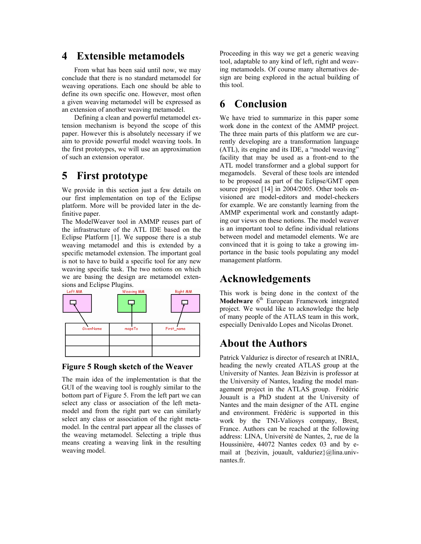## **4 Extensible metamodels**

From what has been said until now, we may conclude that there is no standard metamodel for weaving operations. Each one should be able to define its own specific one. However, most often a given weaving metamodel will be expressed as an extension of another weaving metamodel.

Defining a clean and powerful metamodel extension mechanism is beyond the scope of this paper. However this is absolutely necessary if we aim to provide powerful model weaving tools. In the first prototypes, we will use an approximation of such an extension operator.

## **5 First prototype**

We provide in this section just a few details on our first implementation on top of the Eclipse platform. More will be provided later in the definitive paper.

The ModelWeaver tool in AMMP reuses part of the infrastructure of the ATL IDE based on the Eclipse Platform [\[1\].](#page-4-3) We suppose there is a stub weaving metamodel and this is extended by a specific metamodel extension. The important goal is not to have to build a specific tool for any new weaving specific task. The two notions on which we are basing the design are metamodel extensions and Eclipse Plugins.

<span id="page-3-0"></span>

#### **Figure 5 Rough sketch of the Weaver**

The main idea of the implementation is that the GUI of the weaving tool is roughly similar to the bottom part of [Figure 5.](#page-3-0) From the left part we can select any class or association of the left metamodel and from the right part we can similarly select any class or association of the right metamodel. In the central part appear all the classes of the weaving metamodel. Selecting a triple thus means creating a weaving link in the resulting weaving model.

Proceeding in this way we get a generic weaving tool, adaptable to any kind of left, right and weaving metamodels. Of course many alternatives design are being explored in the actual building of this tool.

## **6 Conclusion**

We have tried to summarize in this paper some work done in the context of the AMMP project. The three main parts of this platform we are currently developing are a transformation language (ATL), its engine and its IDE, a "model weaving" facility that may be used as a front-end to the ATL model transformer and a global support for megamodels. Several of these tools are intended to be proposed as part of the Eclipse/GMT open source project [\[14\]](#page-4-8) in 2004/2005. Other tools envisioned are model-editors and model-checkers for example. We are constantly learning from the AMMP experimental work and constantly adapting our views on these notions. The model weaver is an important tool to define individual relations between model and metamodel elements. We are convinced that it is going to take a growing importance in the basic tools populating any model management platform.

## **Acknowledgements**

This work is being done in the context of the **Modelware** 6<sup>th</sup> European Framework integrated project. We would like to acknowledge the help of many people of the ATLAS team in this work, especially Denivaldo Lopes and Nicolas Dronet.

## **About the Authors**

Patrick Valduriez is director of research at INRIA. heading the newly created ATLAS group at the University of Nantes. Jean Bézivin is professor at the University of Nantes, leading the model management project in the ATLAS group. Frédéric Jouault is a PhD student at the University of Nantes and the main designer of the ATL engine and environment. Frédéric is supported in this work by the TNI-Valiosys company, Brest, France. Authors can be reached at the following address: LINA, Université de Nantes, 2, rue de la Houssinière, 44072 Nantes cedex 03 and by email at {bezivin, jouault, valduriez}@lina.univnantes.fr.